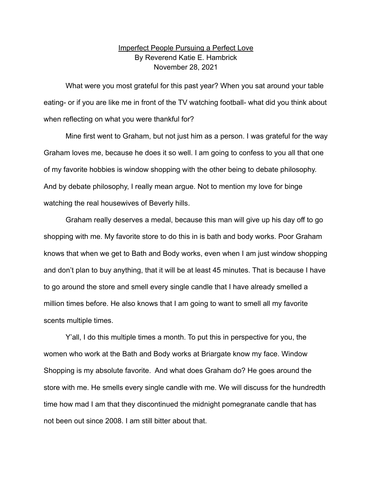## Imperfect People Pursuing a Perfect Love By Reverend Katie E. Hambrick November 28, 2021

What were you most grateful for this past year? When you sat around your table eating- or if you are like me in front of the TV watching football- what did you think about when reflecting on what you were thankful for?

Mine first went to Graham, but not just him as a person. I was grateful for the way Graham loves me, because he does it so well. I am going to confess to you all that one of my favorite hobbies is window shopping with the other being to debate philosophy. And by debate philosophy, I really mean argue. Not to mention my love for binge watching the real housewives of Beverly hills.

Graham really deserves a medal, because this man will give up his day off to go shopping with me. My favorite store to do this in is bath and body works. Poor Graham knows that when we get to Bath and Body works, even when I am just window shopping and don't plan to buy anything, that it will be at least 45 minutes. That is because I have to go around the store and smell every single candle that I have already smelled a million times before. He also knows that I am going to want to smell all my favorite scents multiple times.

Y'all, I do this multiple times a month. To put this in perspective for you, the women who work at the Bath and Body works at Briargate know my face. Window Shopping is my absolute favorite. And what does Graham do? He goes around the store with me. He smells every single candle with me. We will discuss for the hundredth time how mad I am that they discontinued the midnight pomegranate candle that has not been out since 2008. I am still bitter about that.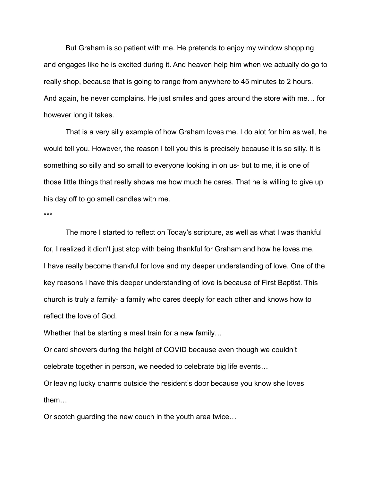But Graham is so patient with me. He pretends to enjoy my window shopping and engages like he is excited during it. And heaven help him when we actually do go to really shop, because that is going to range from anywhere to 45 minutes to 2 hours. And again, he never complains. He just smiles and goes around the store with me… for however long it takes.

That is a very silly example of how Graham loves me. I do alot for him as well, he would tell you. However, the reason I tell you this is precisely because it is so silly. It is something so silly and so small to everyone looking in on us- but to me, it is one of those little things that really shows me how much he cares. That he is willing to give up his day off to go smell candles with me.

\*\*\*

The more I started to reflect on Today's scripture, as well as what I was thankful for, I realized it didn't just stop with being thankful for Graham and how he loves me. I have really become thankful for love and my deeper understanding of love. One of the key reasons I have this deeper understanding of love is because of First Baptist. This church is truly a family- a family who cares deeply for each other and knows how to reflect the love of God.

Whether that be starting a meal train for a new family…

Or card showers during the height of COVID because even though we couldn't celebrate together in person, we needed to celebrate big life events…

Or leaving lucky charms outside the resident's door because you know she loves them…

Or scotch guarding the new couch in the youth area twice…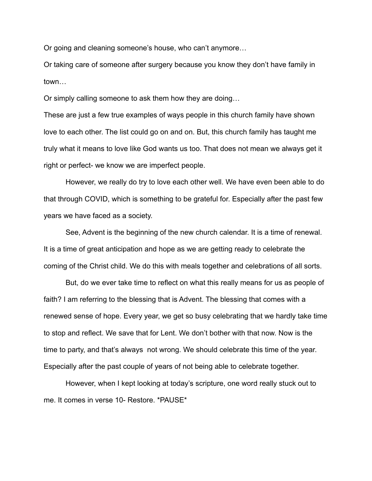Or going and cleaning someone's house, who can't anymore…

Or taking care of someone after surgery because you know they don't have family in town…

Or simply calling someone to ask them how they are doing…

These are just a few true examples of ways people in this church family have shown love to each other. The list could go on and on. But, this church family has taught me truly what it means to love like God wants us too. That does not mean we always get it right or perfect- we know we are imperfect people.

However, we really do try to love each other well. We have even been able to do that through COVID, which is something to be grateful for. Especially after the past few years we have faced as a society.

See, Advent is the beginning of the new church calendar. It is a time of renewal. It is a time of great anticipation and hope as we are getting ready to celebrate the coming of the Christ child. We do this with meals together and celebrations of all sorts.

But, do we ever take time to reflect on what this really means for us as people of faith? I am referring to the blessing that is Advent. The blessing that comes with a renewed sense of hope. Every year, we get so busy celebrating that we hardly take time to stop and reflect. We save that for Lent. We don't bother with that now. Now is the time to party, and that's always not wrong. We should celebrate this time of the year. Especially after the past couple of years of not being able to celebrate together.

However, when I kept looking at today's scripture, one word really stuck out to me. It comes in verse 10- Restore. \*PAUSE\*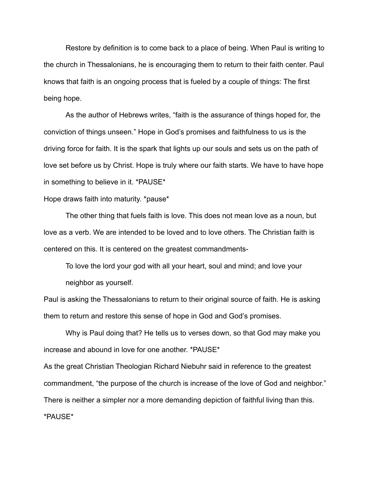Restore by definition is to come back to a place of being. When Paul is writing to the church in Thessalonians, he is encouraging them to return to their faith center. Paul knows that faith is an ongoing process that is fueled by a couple of things: The first being hope.

As the author of Hebrews writes, "faith is the assurance of things hoped for, the conviction of things unseen." Hope in God's promises and faithfulness to us is the driving force for faith. It is the spark that lights up our souls and sets us on the path of love set before us by Christ. Hope is truly where our faith starts. We have to have hope in something to believe in it. \*PAUSE\*

## Hope draws faith into maturity. \*pause\*

The other thing that fuels faith is love. This does not mean love as a noun, but love as a verb. We are intended to be loved and to love others. The Christian faith is centered on this. It is centered on the greatest commandments-

To love the lord your god with all your heart, soul and mind; and love your neighbor as yourself.

Paul is asking the Thessalonians to return to their original source of faith. He is asking them to return and restore this sense of hope in God and God's promises.

Why is Paul doing that? He tells us to verses down, so that God may make you increase and abound in love for one another. \*PAUSE\*

As the great Christian Theologian Richard Niebuhr said in reference to the greatest commandment, "the purpose of the church is increase of the love of God and neighbor." There is neither a simpler nor a more demanding depiction of faithful living than this. \*PAUSE\*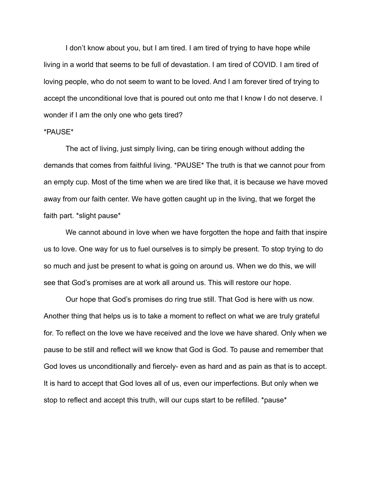I don't know about you, but I am tired. I am tired of trying to have hope while living in a world that seems to be full of devastation. I am tired of COVID. I am tired of loving people, who do not seem to want to be loved. And I am forever tired of trying to accept the unconditional love that is poured out onto me that I know I do not deserve. I wonder if I am the only one who gets tired?

## \*PAUSE\*

The act of living, just simply living, can be tiring enough without adding the demands that comes from faithful living. \*PAUSE\* The truth is that we cannot pour from an empty cup. Most of the time when we are tired like that, it is because we have moved away from our faith center. We have gotten caught up in the living, that we forget the faith part. \*slight pause\*

We cannot abound in love when we have forgotten the hope and faith that inspire us to love. One way for us to fuel ourselves is to simply be present. To stop trying to do so much and just be present to what is going on around us. When we do this, we will see that God's promises are at work all around us. This will restore our hope.

Our hope that God's promises do ring true still. That God is here with us now. Another thing that helps us is to take a moment to reflect on what we are truly grateful for. To reflect on the love we have received and the love we have shared. Only when we pause to be still and reflect will we know that God is God. To pause and remember that God loves us unconditionally and fiercely- even as hard and as pain as that is to accept. It is hard to accept that God loves all of us, even our imperfections. But only when we stop to reflect and accept this truth, will our cups start to be refilled. \*pause\*